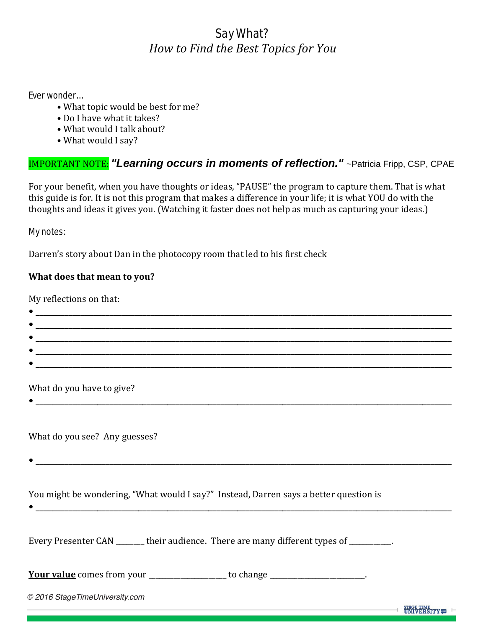# Say What? *How to Find the Best Topics for You*

#### Ever wonder…

- What topic would be best for me?
- Do I have what it takes?
- What would I talk about?
- What would I say?

### IMPORTANT NOTE: *"Learning occurs in moments of reflection."* ~Patricia Fripp, CSP, CPAE

For your benefit, when you have thoughts or ideas, "PAUSE" the program to capture them. That is what this guide is for. It is not this program that makes a difference in your life; it is what YOU do with the thoughts and ideas it gives you. (Watching it faster does not help as much as capturing your ideas.)

#### My notes:

Darren's story about Dan in the photocopy room that led to his first check

### **What does that mean to you?**

My reflections on that:

| <u> 1989 - Johann John Stone, markin sanat masjid ayyı bir alan sahibi ayyı bir alan sahibi ayyı bir alan sahibi</u> |                                      |
|----------------------------------------------------------------------------------------------------------------------|--------------------------------------|
|                                                                                                                      |                                      |
| <u> 1980 - Andreas Angel, Amerikaansk politiker (d. 1980)</u>                                                        |                                      |
| What do you have to give?                                                                                            |                                      |
| What do you see? Any guesses?                                                                                        |                                      |
|                                                                                                                      |                                      |
| You might be wondering, "What would I say?" Instead, Darren says a better question is                                |                                      |
| Every Presenter CAN _______ their audience. There are many different types of _________.                             |                                      |
| Your value comes from your ___________________ to change ____________________.                                       |                                      |
| © 2016 StageTimeUniversity.com                                                                                       |                                      |
|                                                                                                                      | <b>STAGE TIME</b><br><b>IINIVERS</b> |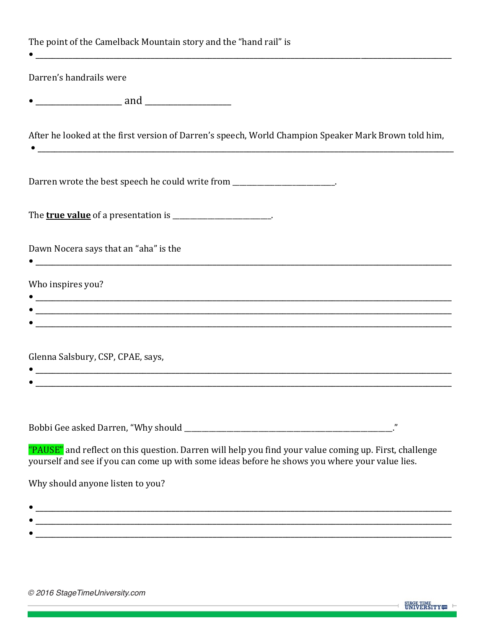| The point of the Camelback Mountain story and the "hand rail" is                                                                                          |  |  |
|-----------------------------------------------------------------------------------------------------------------------------------------------------------|--|--|
| Darren's handrails were                                                                                                                                   |  |  |
| <u>_________________</u> and __________________                                                                                                           |  |  |
| After he looked at the first version of Darren's speech, World Champion Speaker Mark Brown told him,                                                      |  |  |
| Darren wrote the best speech he could write from _______________________.                                                                                 |  |  |
| The <b>true value</b> of a presentation is ___________________________.                                                                                   |  |  |
| Dawn Nocera says that an "aha" is the<br><u> 2000 - Jan James James Barnett, amerikansk politik (d. 1982)</u>                                             |  |  |
| Who inspires you?                                                                                                                                         |  |  |
|                                                                                                                                                           |  |  |
| Glenna Salsbury, CSP, CPAE, says,<br><u> 1989 - Jan James James James James James James James James James James James James James James James James J</u> |  |  |
| "<br>"PAUSE" and reflect on this question. Darren will help you find your value coming up. First, challenge                                               |  |  |
| yourself and see if you can come up with some ideas before he shows you where your value lies.<br>Why should anyone listen to you?                        |  |  |

 $\bullet \underbrace{\hspace{2.5cm}}_{\textcolor{blue}{\textbf{1.5}}\textcolor{blue}{\textbf{2.5}}\textcolor{blue}{\textbf{2.5}}\textcolor{blue}{\textbf{3.5}}\textcolor{blue}{\textbf{4.5}}\textcolor{blue}{\textbf{5.5}}\textcolor{blue}{\textbf{6.5}}\textcolor{blue}{\textbf{7.5}}\textcolor{blue}{\textbf{8.5}}\textcolor{blue}{\textbf{9.5}}\textcolor{blue}{\textbf{1.5}}\textcolor{blue}{\textbf{1.5}}\textcolor{blue}{\textbf{1.5}}\textcolor{blue}{\textbf{1.5}}\textcolor{blue}{\textbf$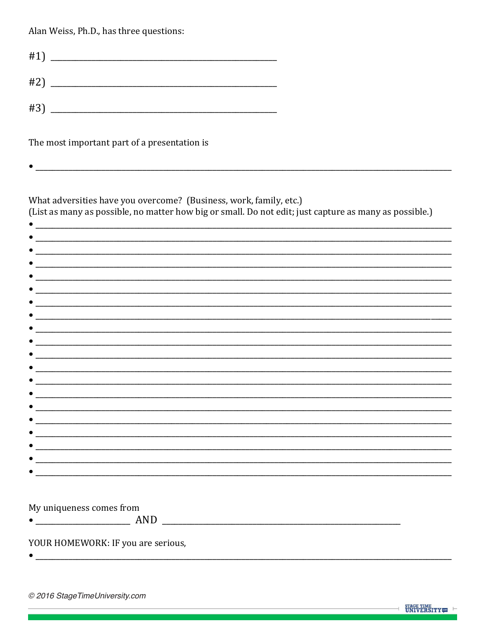Alan Weiss, Ph.D., has three questions:

| #1) |  |
|-----|--|
| #2) |  |
| #3) |  |

The most important part of a presentation is

 $\bullet$ 

What adversities have you overcome? (Business, work, family, etc.) (List as many as possible, no matter how big or small. Do not edit; just capture as many as possible.)

| $\bullet$ |                                       |  |  |  |
|-----------|---------------------------------------|--|--|--|
| $\bullet$ |                                       |  |  |  |
| $\bullet$ |                                       |  |  |  |
|           |                                       |  |  |  |
| $\bullet$ |                                       |  |  |  |
|           |                                       |  |  |  |
|           |                                       |  |  |  |
|           |                                       |  |  |  |
| $\bullet$ |                                       |  |  |  |
|           | $\bullet$ and $\bullet$               |  |  |  |
|           | $\bullet$ and $\bullet$ and $\bullet$ |  |  |  |
| $\bullet$ | $\mathcal{L} = \mathcal{L}$           |  |  |  |
| $\bullet$ |                                       |  |  |  |
|           |                                       |  |  |  |
|           |                                       |  |  |  |
|           |                                       |  |  |  |
|           |                                       |  |  |  |
|           |                                       |  |  |  |
|           |                                       |  |  |  |
|           |                                       |  |  |  |

 $\bullet$  and the contract of the contract of the contract of the contract of the contract of the contract of the contract of the contract of the contract of the contract of the contract of the contract of the contract of the

My uniqueness comes from

YOUR HOMEWORK: IF you are serious,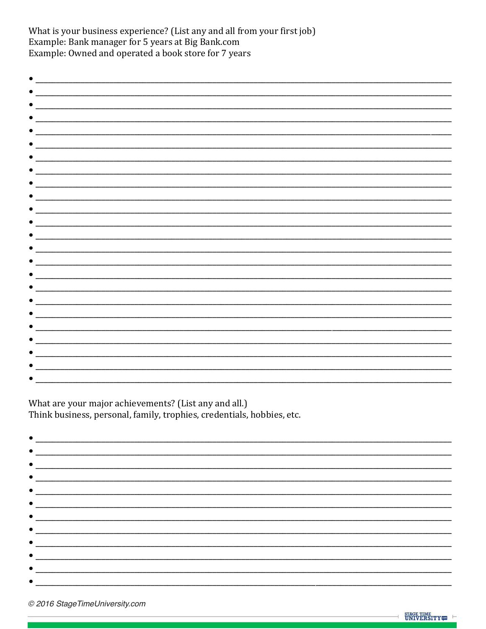What is your business experience? (List any and all from your first job) Example: Bank manager for 5 years at Big Bank.com Example: Owned and operated a book store for 7 years

| $\bullet$ $\_\_$                                                                                                                                                                                                                     |  |  |
|--------------------------------------------------------------------------------------------------------------------------------------------------------------------------------------------------------------------------------------|--|--|
|                                                                                                                                                                                                                                      |  |  |
|                                                                                                                                                                                                                                      |  |  |
|                                                                                                                                                                                                                                      |  |  |
|                                                                                                                                                                                                                                      |  |  |
|                                                                                                                                                                                                                                      |  |  |
|                                                                                                                                                                                                                                      |  |  |
| <u>and a strong part of the strong part of the strong part of the strong part of the strong part of the strong part of the strong part of the strong part of the strong part of the strong part of the strong part of the strong</u> |  |  |
|                                                                                                                                                                                                                                      |  |  |
|                                                                                                                                                                                                                                      |  |  |
| $\bullet$ $\qquad$                                                                                                                                                                                                                   |  |  |
|                                                                                                                                                                                                                                      |  |  |
|                                                                                                                                                                                                                                      |  |  |
|                                                                                                                                                                                                                                      |  |  |
|                                                                                                                                                                                                                                      |  |  |
|                                                                                                                                                                                                                                      |  |  |
|                                                                                                                                                                                                                                      |  |  |
| $\bullet$ and $\bullet$ and $\bullet$                                                                                                                                                                                                |  |  |
|                                                                                                                                                                                                                                      |  |  |
|                                                                                                                                                                                                                                      |  |  |
| $\bullet$ and $\bullet$                                                                                                                                                                                                              |  |  |
|                                                                                                                                                                                                                                      |  |  |
|                                                                                                                                                                                                                                      |  |  |
|                                                                                                                                                                                                                                      |  |  |
| $\bullet$ and $\bullet$                                                                                                                                                                                                              |  |  |
|                                                                                                                                                                                                                                      |  |  |
|                                                                                                                                                                                                                                      |  |  |
|                                                                                                                                                                                                                                      |  |  |
|                                                                                                                                                                                                                                      |  |  |
|                                                                                                                                                                                                                                      |  |  |

What are your major achievements? (List any and all.) Think business, personal, family, trophies, credentials, hobbies, etc.

| <u> 1989 - Johann Stein, mars and de Britain and de Britain and de Britain and de Britain and de Britain and de B</u>                                                                                                              |  |
|------------------------------------------------------------------------------------------------------------------------------------------------------------------------------------------------------------------------------------|--|
|                                                                                                                                                                                                                                    |  |
|                                                                                                                                                                                                                                    |  |
|                                                                                                                                                                                                                                    |  |
|                                                                                                                                                                                                                                    |  |
| $\bullet$ . The contract of the contract of the contract of the contract of the contract of the contract of the contract of the contract of the contract of the contract of the contract of the contract of the contract of the co |  |
|                                                                                                                                                                                                                                    |  |
|                                                                                                                                                                                                                                    |  |
|                                                                                                                                                                                                                                    |  |
|                                                                                                                                                                                                                                    |  |
|                                                                                                                                                                                                                                    |  |
|                                                                                                                                                                                                                                    |  |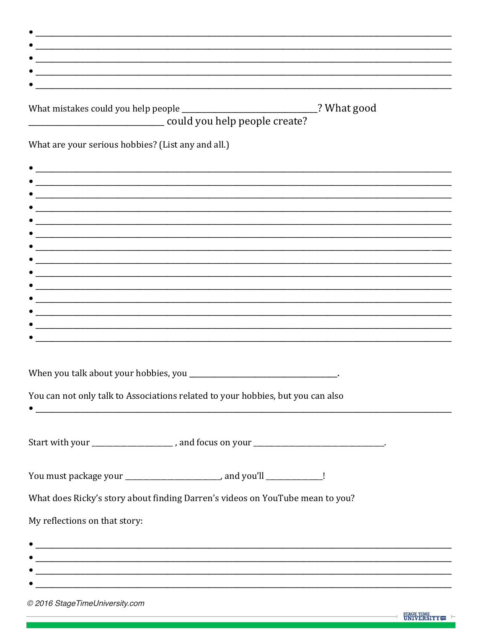| What mistakes could you help people _________________________________? What good<br>could you help people create? |  |
|-------------------------------------------------------------------------------------------------------------------|--|
| What are your serious hobbies? (List any and all.)                                                                |  |
|                                                                                                                   |  |
| <u> 1989 - John Stone, Amerikaansk politiker (* 1958)</u>                                                         |  |
|                                                                                                                   |  |
|                                                                                                                   |  |
|                                                                                                                   |  |
|                                                                                                                   |  |
|                                                                                                                   |  |
|                                                                                                                   |  |
|                                                                                                                   |  |
|                                                                                                                   |  |
|                                                                                                                   |  |
|                                                                                                                   |  |
| You can not only talk to Associations related to your hobbies, but you can also                                   |  |
|                                                                                                                   |  |
| Start with your _____________________, and focus on your _______________________________.                         |  |
|                                                                                                                   |  |
| You must package your ________________________, and you'll ______________!                                        |  |
| What does Ricky's story about finding Darren's videos on YouTube mean to you?                                     |  |
| My reflections on that story:                                                                                     |  |
|                                                                                                                   |  |
|                                                                                                                   |  |
|                                                                                                                   |  |
|                                                                                                                   |  |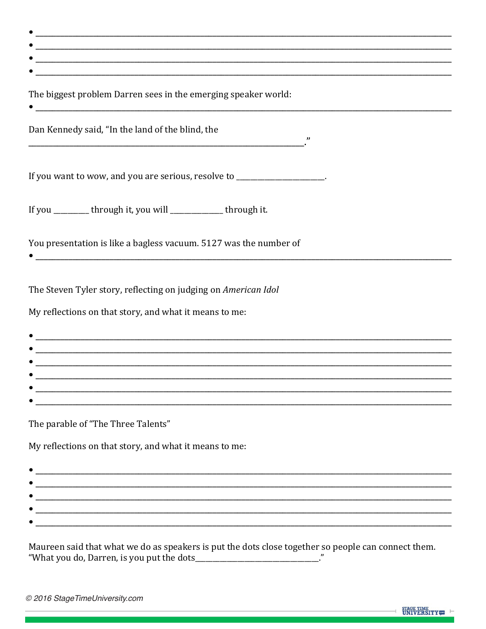| ________<br>____              |
|-------------------------------|
| ______<br>___________<br>____ |
|                               |
|                               |

The biggest problem Darren sees in the emerging speaker world:

Dan Kennedy said, "In the land of the blind, the

If you want to wow, and you are serious, resolve to \_\_\_\_\_\_\_\_\_\_\_\_\_\_\_\_\_\_\_\_.

If you \_\_\_\_\_\_\_\_ through it, you will \_\_\_\_\_\_\_\_\_\_ through it.

You presentation is like a bagless vacuum. 5127 was the number of

The Steven Tyler story, reflecting on judging on American Idol

 $\bullet$  and the contract of the contract of the contract of the contract of the contract of the contract of the contract of the contract of the contract of the contract of the contract of the contract of the contract of the

My reflections on that story, and what it means to me:

| $\bullet$ |  |
|-----------|--|
| $\bullet$ |  |
| $\bullet$ |  |
| $\bullet$ |  |
| $\bullet$ |  |
|           |  |

The parable of "The Three Talents"

My reflections on that story, and what it means to me:

Maureen said that what we do as speakers is put the dots close together so people can connect them. "What you do, Darren, is you put the dots\_\_\_\_\_\_\_\_\_\_\_\_\_\_\_\_\_\_\_\_\_\_\_\_\_\_\_\_\_."